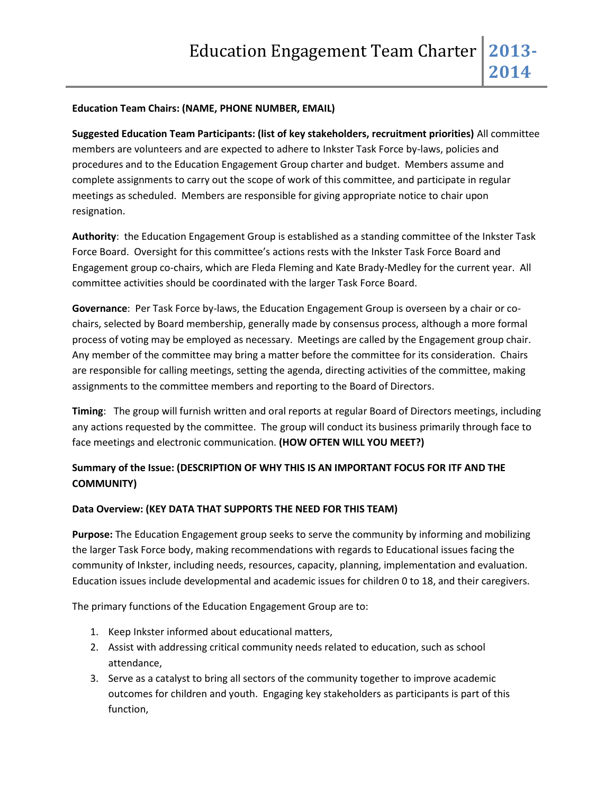#### **Education Team Chairs: (NAME, PHONE NUMBER, EMAIL)**

**Suggested Education Team Participants: (list of key stakeholders, recruitment priorities)** All committee members are volunteers and are expected to adhere to Inkster Task Force by-laws, policies and procedures and to the Education Engagement Group charter and budget. Members assume and complete assignments to carry out the scope of work of this committee, and participate in regular meetings as scheduled. Members are responsible for giving appropriate notice to chair upon resignation.

**Authority**: the Education Engagement Group is established as a standing committee of the Inkster Task Force Board. Oversight for this committee's actions rests with the Inkster Task Force Board and Engagement group co-chairs, which are Fleda Fleming and Kate Brady-Medley for the current year. All committee activities should be coordinated with the larger Task Force Board.

**Governance**: Per Task Force by-laws, the Education Engagement Group is overseen by a chair or cochairs, selected by Board membership, generally made by consensus process, although a more formal process of voting may be employed as necessary. Meetings are called by the Engagement group chair. Any member of the committee may bring a matter before the committee for its consideration. Chairs are responsible for calling meetings, setting the agenda, directing activities of the committee, making assignments to the committee members and reporting to the Board of Directors.

**Timing**: The group will furnish written and oral reports at regular Board of Directors meetings, including any actions requested by the committee. The group will conduct its business primarily through face to face meetings and electronic communication. **(HOW OFTEN WILL YOU MEET?)**

## **Summary of the Issue: (DESCRIPTION OF WHY THIS IS AN IMPORTANT FOCUS FOR ITF AND THE COMMUNITY)**

#### **Data Overview: (KEY DATA THAT SUPPORTS THE NEED FOR THIS TEAM)**

**Purpose:** The Education Engagement group seeks to serve the community by informing and mobilizing the larger Task Force body, making recommendations with regards to Educational issues facing the community of Inkster, including needs, resources, capacity, planning, implementation and evaluation. Education issues include developmental and academic issues for children 0 to 18, and their caregivers.

The primary functions of the Education Engagement Group are to:

- 1. Keep Inkster informed about educational matters,
- 2. Assist with addressing critical community needs related to education, such as school attendance,
- 3. Serve as a catalyst to bring all sectors of the community together to improve academic outcomes for children and youth. Engaging key stakeholders as participants is part of this function,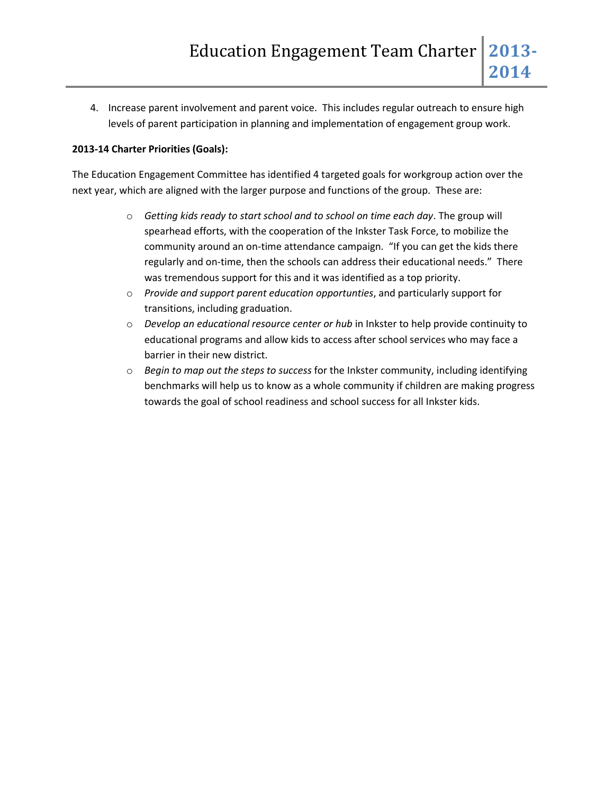4. Increase parent involvement and parent voice. This includes regular outreach to ensure high levels of parent participation in planning and implementation of engagement group work.

### **2013-14 Charter Priorities (Goals):**

The Education Engagement Committee has identified 4 targeted goals for workgroup action over the next year, which are aligned with the larger purpose and functions of the group. These are:

- o *Getting kids ready to start school and to school on time each day*. The group will spearhead efforts, with the cooperation of the Inkster Task Force, to mobilize the community around an on-time attendance campaign. "If you can get the kids there regularly and on-time, then the schools can address their educational needs." There was tremendous support for this and it was identified as a top priority.
- o *Provide and support parent education opportunties*, and particularly support for transitions, including graduation.
- o *Develop an educational resource center or hub* in Inkster to help provide continuity to educational programs and allow kids to access after school services who may face a barrier in their new district.
- o *Begin to map out the steps to success* for the Inkster community, including identifying benchmarks will help us to know as a whole community if children are making progress towards the goal of school readiness and school success for all Inkster kids.